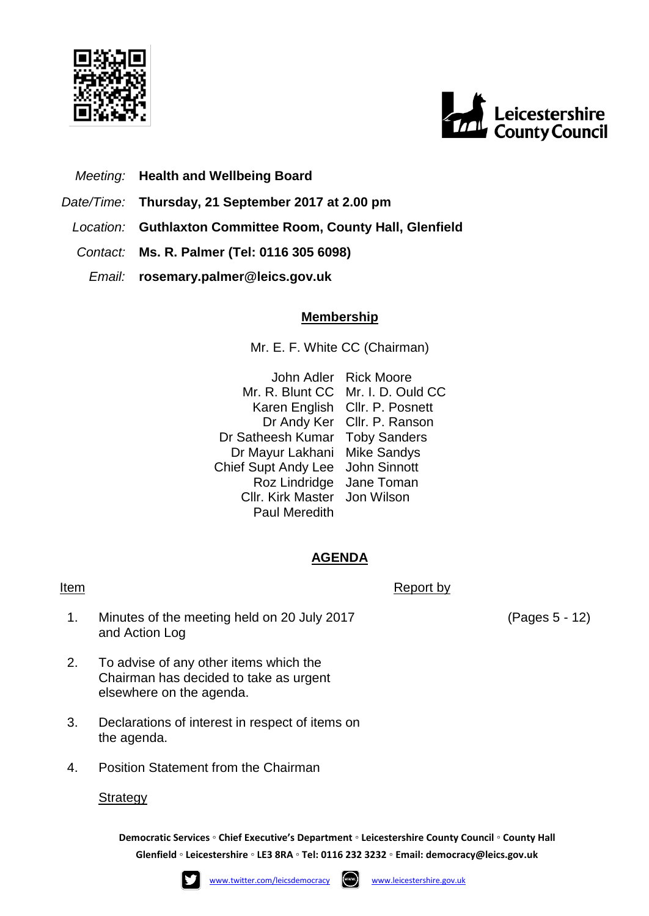



# *Meeting:* **Health and Wellbeing Board**

- *Date/Time:* **Thursday, 21 September 2017 at 2.00 pm**
- *Location:* **Guthlaxton Committee Room, County Hall, Glenfield**
- *Contact:* **Ms. R. Palmer (Tel: 0116 305 6098)**
	- *Email:* **rosemary.palmer@leics.gov.uk**

## **Membership**

Mr. E. F. White CC (Chairman)

John Adler Rick Moore Mr. R. Blunt CC Mr. I. D. Ould CC Karen English Cllr. P. Posnett Dr Andy Ker Cllr. P. Ranson Dr Satheesh Kumar Toby Sanders Dr Mayur Lakhani Mike Sandys Chief Supt Andy Lee John Sinnott Roz Lindridge Jane Toman Cllr. Kirk Master Jon Wilson Paul Meredith

## **AGENDA**

### **Item** Report by

- 1. Minutes of the meeting held on 20 July 2017 and Action Log
- 2. To advise of any other items which the Chairman has decided to take as urgent elsewhere on the agenda.
- 3. Declarations of interest in respect of items on the agenda.
- 4. Position Statement from the Chairman

## **Strategy**

**Democratic Services ◦ Chief Executive's Department ◦ Leicestershire County Council ◦ County Hall Glenfield ◦ Leicestershire ◦ LE3 8RA ◦ Tel: 0116 232 3232 ◦ Email: [democracy@leics.gov.uk](mailto:democracy@leics.gov.uk)**





(Pages 5 - 12)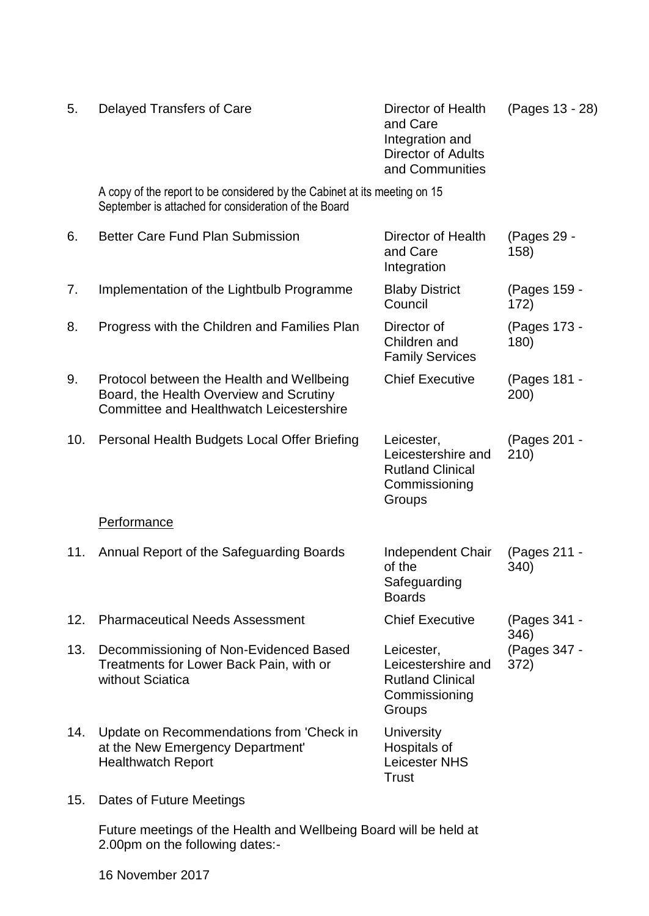| 5.  | Delayed Transfers of Care                                                                                                               | Director of Health<br>and Care<br>Integration and<br><b>Director of Adults</b><br>and Communities | (Pages 13 - 28)      |
|-----|-----------------------------------------------------------------------------------------------------------------------------------------|---------------------------------------------------------------------------------------------------|----------------------|
|     | A copy of the report to be considered by the Cabinet at its meeting on 15<br>September is attached for consideration of the Board       |                                                                                                   |                      |
| 6.  | Better Care Fund Plan Submission                                                                                                        | Director of Health<br>and Care<br>Integration                                                     | (Pages 29 -<br>158)  |
| 7.  | Implementation of the Lightbulb Programme                                                                                               | <b>Blaby District</b><br>Council                                                                  | (Pages 159 -<br>172) |
| 8.  | Progress with the Children and Families Plan                                                                                            | Director of<br>Children and<br><b>Family Services</b>                                             | (Pages 173 -<br>180) |
| 9.  | Protocol between the Health and Wellbeing<br>Board, the Health Overview and Scrutiny<br><b>Committee and Healthwatch Leicestershire</b> | <b>Chief Executive</b>                                                                            | (Pages 181 -<br>200) |
| 10. | Personal Health Budgets Local Offer Briefing                                                                                            | Leicester,<br>Leicestershire and<br><b>Rutland Clinical</b><br>Commissioning<br>Groups            | (Pages 201 -<br>210) |
|     | Performance                                                                                                                             |                                                                                                   |                      |
| 11. | Annual Report of the Safeguarding Boards                                                                                                | Independent Chair<br>of the<br>Safeguarding<br><b>Boards</b>                                      | (Pages 211 -<br>340) |
| 12. | <b>Pharmaceutical Needs Assessment</b>                                                                                                  | <b>Chief Executive</b>                                                                            | (Pages 341 -<br>346) |
| 13. | Decommissioning of Non-Evidenced Based<br>Treatments for Lower Back Pain, with or<br>without Sciatica                                   | Leicester,<br>Leicestershire and<br><b>Rutland Clinical</b><br>Commissioning<br>Groups            | (Pages 347 -<br>372) |
| 14. | Update on Recommendations from 'Check in<br>at the New Emergency Department'<br><b>Healthwatch Report</b>                               | University<br>Hospitals of<br><b>Leicester NHS</b><br>Trust                                       |                      |
| 15. | Dates of Future Meetings                                                                                                                |                                                                                                   |                      |
|     | Future meetings of the Health and Wellbeing Board will be held at<br>2.00pm on the following dates:-                                    |                                                                                                   |                      |

16 November 2017